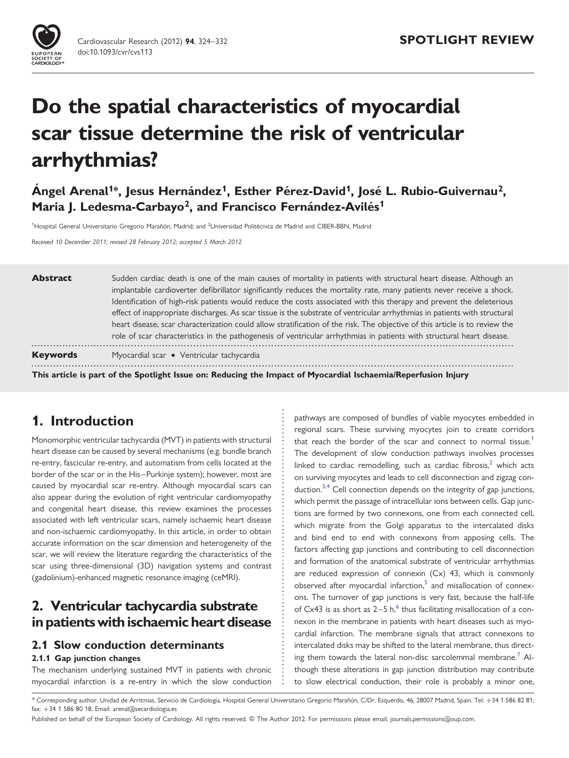# Do the spatial characteristics of myocardial scar tissue determine the risk of ventricular arrhythmias?

Ángel Arenal<sup>1\*</sup>, Jesus Hernández<sup>1</sup>, Esther Pérez-David<sup>1</sup>, José L. Rubio-Guivernau<sup>2</sup>, Maria J. Ledesma-Carbayo<sup>2</sup>, and Francisco Fernández-Avilés<sup>1</sup>

<sup>1</sup>Hospital General Universitario Gregorio Marañón, Madrid; and <sup>2</sup>Universidad Politécnica de Madrid and CIBER-BBN, Madrid

Received 10 December 2011; revised 28 February 2012; accepted 5 March 2012

Abstract Sudden cardiac death is one of the main causes of mortality in patients with structural heart disease. Although an implantable cardioverter defibrillator significantly reduces the mortality rate, many patients never receive a shock. Identification of high-risk patients would reduce the costs associated with this therapy and prevent the deleterious effect of inappropriate discharges. As scar tissue is the substrate of ventricular arrhythmias in patients with structural heart disease, scar characterization could allow stratification of the risk. The objective of this article is to review the role of scar characteristics in the pathogenesis of ventricular arrhythmias in patients with structural heart disease. ----------------------------------------------------------------------------------------------------------------------------------------------------------- Keywords Myocardial scar • Ventricular tachycardia ----------------------------------------------------------------------------------------------------------------------------------------------------------- This article is part of the Spotlight Issue on: Reducing the Impact of Myocardial Ischaemia/Reperfusion Injury

# 1. Introduction

Monomorphic ventricular tachycardia (MVT) in patients with structural heart disease can be caused by several mechanisms (e.g. bundle branch re-entry, fascicular re-entry, and automatism from cells located at the border of the scar or in the His–Purkinje system); however, most are caused by myocardial scar re-entry. Although myocardial scars can also appear during the evolution of right ventricular cardiomyopathy and congenital heart disease, this review examines the processes associated with left ventricular scars, namely ischaemic heart disease and non-ischaemic cardiomyopathy. In this article, in order to obtain accurate information on the scar dimension and heterogeneity of the scar, we will review the literature regarding the characteristics of the scar using three-dimensional (3D) navigation systems and contrast (gadolinium)-enhanced magnetic resonance imaging (ceMRI).

# 2. Ventricular tachycardia substrate in patients with ischaemic heart disease

# 2.1 Slow conduction determinants

#### 2.1.1 Gap junction changes

The mechanism underlying sustained MVT in patients with chronic myocardial infarction is a re-entry in which the slow conduction pathways are composed of bundles of viable myocytes embedded in regional scars. These surviving myocytes join to create corridors that reach the border of the scar and connect to normal tissue.<sup>[1](#page-7-0)</sup> The development of slow conduction pathways involves processes linked to cardiac remodelling, such as cardiac fibrosis, $<sup>2</sup>$  $<sup>2</sup>$  $<sup>2</sup>$  which acts</sup> on surviving myocytes and leads to cell disconnection and zigzag conduction.<sup>3,4</sup> Cell connection depends on the integrity of gap junctions, which permit the passage of intracellular ions between cells. Gap junctions are formed by two connexons, one from each connected cell, which migrate from the Golgi apparatus to the intercalated disks and bind end to end with connexons from apposing cells. The factors affecting gap junctions and contributing to cell disconnection and formation of the anatomical substrate of ventricular arrhythmias are reduced expression of connexin (Cx) 43, which is commonly observed after myocardial infarction, $5$  and misallocation of connexons. The turnover of gap junctions is very fast, because the half-life of Cx43 is as short as  $2-5$  h,<sup>[6](#page-7-0)</sup> thus facilitating misallocation of a connexon in the membrane in patients with heart diseases such as myocardial infarction. The membrane signals that attract connexons to intercalated disks may be shifted to the lateral membrane, thus direct-ing them towards the lateral non-disc sarcolemmal membrane.<sup>[7](#page-7-0)</sup> Although these alterations in gap junction distribution may contribute to slow electrical conduction, their role is probably a minor one,

<sup>\*</sup> Corresponding author. Unidad de Arritmias, Servicio de Cardiología, Hospital General Universitario Gregorio Marañón, C/Dr. Esquerdo, 46, 28007 Madrid, Spain. Tel: +34 1 586 82 81; fax: +34 1 586 80 18. Email: arenal@secardiologia.es

Published on behalf of the European Society of Cardiology. All rights reserved. © The Author 2012. For permissions please email: journals.permissions@oup.com.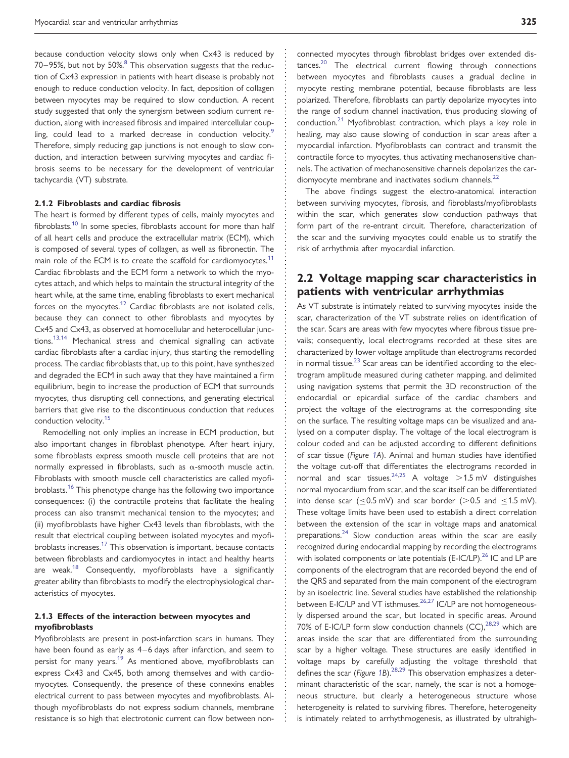because conduction velocity slows only when Cx43 is reduced by  $70-95%$ , but not by  $50\%$ <sup>[8](#page-7-0)</sup> This observation suggests that the reduction of Cx43 expression in patients with heart disease is probably not enough to reduce conduction velocity. In fact, deposition of collagen between myocytes may be required to slow conduction. A recent study suggested that only the synergism between sodium current reduction, along with increased fibrosis and impaired intercellular coup-ling, could lead to a marked decrease in conduction velocity.<sup>[9](#page-7-0)</sup> Therefore, simply reducing gap junctions is not enough to slow conduction, and interaction between surviving myocytes and cardiac fibrosis seems to be necessary for the development of ventricular tachycardia (VT) substrate.

#### 2.1.2 Fibroblasts and cardiac fibrosis

The heart is formed by different types of cells, mainly myocytes and fibroblasts.<sup>10</sup> In some species, fibroblasts account for more than half of all heart cells and produce the extracellular matrix (ECM), which is composed of several types of collagen, as well as fibronectin. The main role of the ECM is to create the scaffold for cardiomyocytes.<sup>[11](#page-7-0)</sup> Cardiac fibroblasts and the ECM form a network to which the myocytes attach, and which helps to maintain the structural integrity of the heart while, at the same time, enabling fibroblasts to exert mechanical forces on the myocytes. $^{12}$  $^{12}$  $^{12}$  Cardiac fibroblasts are not isolated cells, because they can connect to other fibroblasts and myocytes by Cx45 and Cx43, as observed at homocellular and heterocellular junctions.[13,14](#page-7-0) Mechanical stress and chemical signalling can activate cardiac fibroblasts after a cardiac injury, thus starting the remodelling process. The cardiac fibroblasts that, up to this point, have synthesized and degraded the ECM in such away that they have maintained a firm equilibrium, begin to increase the production of ECM that surrounds myocytes, thus disrupting cell connections, and generating electrical barriers that give rise to the discontinuous conduction that reduces conduction velocity[.15](#page-7-0)

Remodelling not only implies an increase in ECM production, but also important changes in fibroblast phenotype. After heart injury, some fibroblasts express smooth muscle cell proteins that are not normally expressed in fibroblasts, such as  $\alpha$ -smooth muscle actin. Fibroblasts with smooth muscle cell characteristics are called myofibroblasts.[16](#page-7-0) This phenotype change has the following two importance consequences: (i) the contractile proteins that facilitate the healing process can also transmit mechanical tension to the myocytes; and (ii) myofibroblasts have higher Cx43 levels than fibroblasts, with the result that electrical coupling between isolated myocytes and myofibroblasts increases.[17](#page-7-0) This observation is important, because contacts between fibroblasts and cardiomyocytes in intact and healthy hearts are weak.<sup>[18](#page-7-0)</sup> Consequently, myofibroblasts have a significantly greater ability than fibroblasts to modify the electrophysiological characteristics of myocytes.

#### 2.1.3 Effects of the interaction between myocytes and myofibroblasts

Myofibroblasts are present in post-infarction scars in humans. They have been found as early as 4–6 days after infarction, and seem to persist for many years.<sup>[19](#page-7-0)</sup> As mentioned above, myofibroblasts can express Cx43 and Cx45, both among themselves and with cardiomyocytes. Consequently, the presence of these connexins enables electrical current to pass between myocytes and myofibroblasts. Although myofibroblasts do not express sodium channels, membrane resistance is so high that electrotonic current can flow between nonconnected myocytes through fibroblast bridges over extended dis $t$ ances.<sup>[20](#page-7-0)</sup> The electrical current flowing through connections between myocytes and fibroblasts causes a gradual decline in myocyte resting membrane potential, because fibroblasts are less polarized. Therefore, fibroblasts can partly depolarize myocytes into the range of sodium channel inactivation, thus producing slowing of conduction.<sup>21</sup> Myofibroblast contraction, which plays a key role in healing, may also cause slowing of conduction in scar areas after a myocardial infarction. Myofibroblasts can contract and transmit the contractile force to myocytes, thus activating mechanosensitive channels. The activation of mechanosensitive channels depolarizes the car-diomyocyte membrane and inactivates sodium channels.<sup>[22](#page-7-0)</sup>

The above findings suggest the electro-anatomical interaction between surviving myocytes, fibrosis, and fibroblasts/myofibroblasts within the scar, which generates slow conduction pathways that form part of the re-entrant circuit. Therefore, characterization of the scar and the surviving myocytes could enable us to stratify the risk of arrhythmia after myocardial infarction.

### 2.2 Voltage mapping scar characteristics in patients with ventricular arrhythmias

As VT substrate is intimately related to surviving myocytes inside the scar, characterization of the VT substrate relies on identification of the scar. Scars are areas with few myocytes where fibrous tissue prevails; consequently, local electrograms recorded at these sites are characterized by lower voltage amplitude than electrograms recorded in normal tissue.<sup>[23](#page-7-0)</sup> Scar areas can be identified according to the electrogram amplitude measured during catheter mapping, and delimited using navigation systems that permit the 3D reconstruction of the endocardial or epicardial surface of the cardiac chambers and project the voltage of the electrograms at the corresponding site on the surface. The resulting voltage maps can be visualized and analysed on a computer display. The voltage of the local electrogram is colour coded and can be adjusted according to different definitions of scar tissue (Figure [1A](#page-2-0)). Animal and human studies have identified the voltage cut-off that differentiates the electrograms recorded in normal and scar tissues.<sup>[24,25](#page-8-0)</sup> A voltage  $>1.5$  mV distinguishes normal myocardium from scar, and the scar itself can be differentiated into dense scar ( $\leq 0.5$  mV) and scar border ( $> 0.5$  and  $\leq 1.5$  mV). These voltage limits have been used to establish a direct correlation between the extension of the scar in voltage maps and anatomical preparations. $24$  Slow conduction areas within the scar are easily recognized during endocardial mapping by recording the electrograms with isolated components or late potentials  $(E-IC/LP)$ <sup>[26](#page-8-0)</sup> IC and LP are components of the electrogram that are recorded beyond the end of the QRS and separated from the main component of the electrogram by an isoelectric line. Several studies have established the relationship between E-IC/LP and VT isthmuses.<sup>[26,27](#page-8-0)</sup> IC/LP are not homogeneously dispersed around the scar, but located in specific areas. Around 70% of E-IC/LP form slow conduction channels  $(CC),<sup>28,29</sup>$  $(CC),<sup>28,29</sup>$  $(CC),<sup>28,29</sup>$  which are areas inside the scar that are differentiated from the surrounding scar by a higher voltage. These structures are easily identified in voltage maps by carefully adjusting the voltage threshold that defines the scar (Figure [1](#page-2-0)B).<sup>[28,29](#page-8-0)</sup> This observation emphasizes a determinant characteristic of the scar, namely, the scar is not a homogeneous structure, but clearly a heterogeneous structure whose heterogeneity is related to surviving fibres. Therefore, heterogeneity is intimately related to arrhythmogenesis, as illustrated by ultrahigh-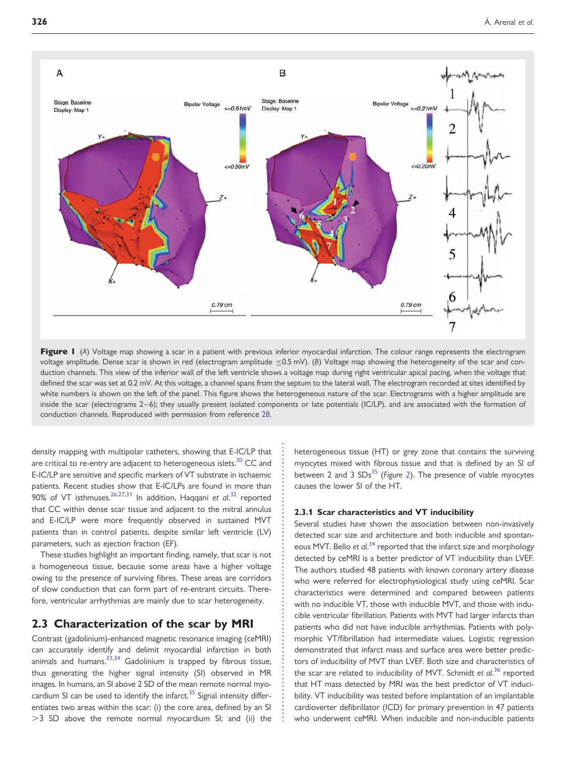<span id="page-2-0"></span>

Figure I (A) Voltage map showing a scar in a patient with previous inferior myocardial infarction. The colour range represents the electrogram voltage amplitude. Dense scar is shown in red (electrogram amplitude ≤0.5 mV). (B) Voltage map showing the heterogeneity of the scar and conduction channels. This view of the inferior wall of the left ventricle shows a voltage map during right ventricular apical pacing, when the voltage that defined the scar was set at 0.2 mV. At this voltage, a channel spans from the septum to the lateral wall. The electrogram recorded at sites identified by white numbers is shown on the left of the panel. This figure shows the heterogeneous nature of the scar. Electrograms with a higher amplitude are inside the scar (electrograms 2–6); they usually present isolated components or late potentials (IC/LP), and are associated with the formation of conduction channels. Reproduced with permission from reference [28.](#page-8-0)

density mapping with multipolar catheters, showing that E-IC/LP that are critical to re-entry are adjacent to heterogeneous islets.<sup>30</sup> CC and E-IC/LP are sensitive and specific markers of VT substrate in ischaemic patients. Recent studies show that E-IC/LPs are found in more than 90% of VT isthmuses.  $26,27,31$  In addition, Haqqani et al.  $32$  reported that CC within dense scar tissue and adjacent to the mitral annulus and E-IC/LP were more frequently observed in sustained MVT patients than in control patients, despite similar left ventricle (LV) parameters, such as ejection fraction (EF).

These studies highlight an important finding, namely, that scar is not a homogeneous tissue, because some areas have a higher voltage owing to the presence of surviving fibres. These areas are corridors of slow conduction that can form part of re-entrant circuits. Therefore, ventricular arrhythmias are mainly due to scar heterogeneity.

### 2.3 Characterization of the scar by MRI

Contrast (gadolinium)-enhanced magnetic resonance imaging (ceMRI) can accurately identify and delimit myocardial infarction in both animals and humans.<sup>33,34</sup> Gadolinium is trapped by fibrous tissue, thus generating the higher signal intensity (SI) observed in MR images. In humans, an SI above 2 SD of the mean remote normal myo-cardium SI can be used to identify the infarct.<sup>[35](#page-8-0)</sup> Signal intensity differentiates two areas within the scar: (i) the core area, defined by an SI .3 SD above the remote normal myocardium SI; and (ii) the heterogeneous tissue (HT) or grey zone that contains the surviving myocytes mixed with fibrous tissue and that is defined by an SI of between [2](#page-3-0) and 3  $SDs<sup>35</sup>$  $SDs<sup>35</sup>$  $SDs<sup>35</sup>$  (Figure 2). The presence of viable myocytes causes the lower SI of the HT.

#### 2.3.1 Scar characteristics and VT inducibility

Several studies have shown the association between non-invasively detected scar size and architecture and both inducible and spontan-eous MVT. Bello et al.<sup>[34](#page-8-0)</sup> reported that the infarct size and morphology detected by ceMRI is a better predictor of VT inducibility than LVEF. The authors studied 48 patients with known coronary artery disease who were referred for electrophysiological study using ceMRI. Scar characteristics were determined and compared between patients with no inducible VT, those with inducible MVT, and those with inducible ventricular fibrillation. Patients with MVT had larger infarcts than patients who did not have inducible arrhythmias. Patients with polymorphic VT/fibrillation had intermediate values. Logistic regression demonstrated that infarct mass and surface area were better predictors of inducibility of MVT than LVEF. Both size and characteristics of the scar are related to inducibility of MVT. Schmidt et al.<sup>[36](#page-8-0)</sup> reported that HT mass detected by MRI was the best predictor of VT inducibility. VT inducibility was tested before implantation of an implantable cardioverter defibrillator (ICD) for primary prevention in 47 patients who underwent ceMRI. When inducible and non-inducible patients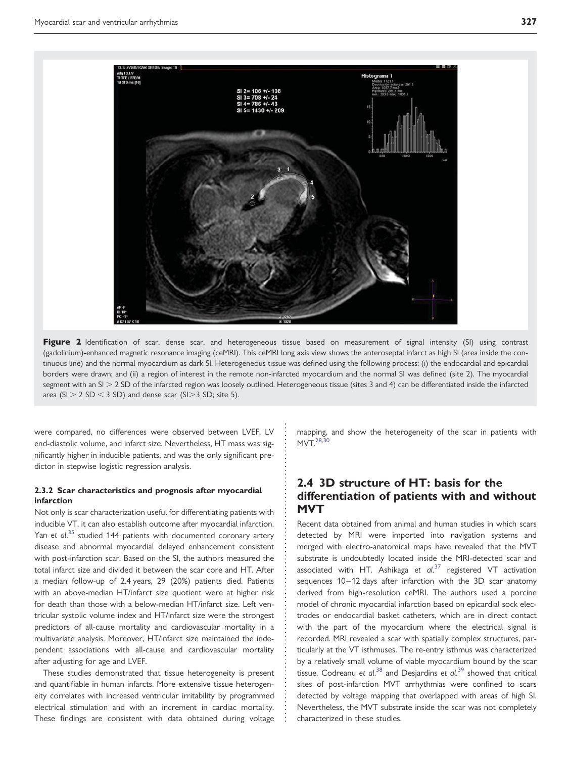<span id="page-3-0"></span>

Figure 2 Identification of scar, dense scar, and heterogeneous tissue based on measurement of signal intensity (SI) using contrast (gadolinium)-enhanced magnetic resonance imaging (ceMRI). This ceMRI long axis view shows the anteroseptal infarct as high SI (area inside the continuous line) and the normal myocardium as dark SI. Heterogeneous tissue was defined using the following process: (i) the endocardial and epicardial borders were drawn; and (ii) a region of interest in the remote non-infarcted myocardium and the normal SI was defined (site 2). The myocardial segment with an SI > 2 SD of the infarcted region was loosely outlined. Heterogeneous tissue (sites 3 and 4) can be differentiated inside the infarcted area (SI  $>$  2 SD  $<$  3 SD) and dense scar (SI $>$ 3 SD; site 5).

were compared, no differences were observed between LVEF, LV end-diastolic volume, and infarct size. Nevertheless, HT mass was significantly higher in inducible patients, and was the only significant predictor in stepwise logistic regression analysis.

#### 2.3.2 Scar characteristics and prognosis after myocardial infarction

Not only is scar characterization useful for differentiating patients with inducible VT, it can also establish outcome after myocardial infarction. Yan et al.<sup>[35](#page-8-0)</sup> studied 144 patients with documented coronary artery disease and abnormal myocardial delayed enhancement consistent with post-infarction scar. Based on the SI, the authors measured the total infarct size and divided it between the scar core and HT. After a median follow-up of 2.4 years, 29 (20%) patients died. Patients with an above-median HT/infarct size quotient were at higher risk for death than those with a below-median HT/infarct size. Left ventricular systolic volume index and HT/infarct size were the strongest predictors of all-cause mortality and cardiovascular mortality in a multivariate analysis. Moreover, HT/infarct size maintained the independent associations with all-cause and cardiovascular mortality after adjusting for age and LVEF.

These studies demonstrated that tissue heterogeneity is present and quantifiable in human infarcts. More extensive tissue heterogeneity correlates with increased ventricular irritability by programmed electrical stimulation and with an increment in cardiac mortality. These findings are consistent with data obtained during voltage

mapping, and show the heterogeneity of the scar in patients with MVT[.28,30](#page-8-0)

### 2.4 3D structure of HT: basis for the differentiation of patients with and without **MVT**

Recent data obtained from animal and human studies in which scars detected by MRI were imported into navigation systems and merged with electro-anatomical maps have revealed that the MVT substrate is undoubtedly located inside the MRI-detected scar and associated with HT. Ashikaga et  $al.^{37}$  $al.^{37}$  $al.^{37}$  registered VT activation sequences 10–12 days after infarction with the 3D scar anatomy derived from high-resolution ceMRI. The authors used a porcine model of chronic myocardial infarction based on epicardial sock electrodes or endocardial basket catheters, which are in direct contact with the part of the myocardium where the electrical signal is recorded. MRI revealed a scar with spatially complex structures, particularly at the VT isthmuses. The re-entry isthmus was characterized by a relatively small volume of viable myocardium bound by the scar tissue. Codreanu et  $al^{38}$  $al^{38}$  $al^{38}$  and Desjardins et  $al^{39}$  $al^{39}$  $al^{39}$  showed that critical sites of post-infarction MVT arrhythmias were confined to scars detected by voltage mapping that overlapped with areas of high SI. Nevertheless, the MVT substrate inside the scar was not completely characterized in these studies.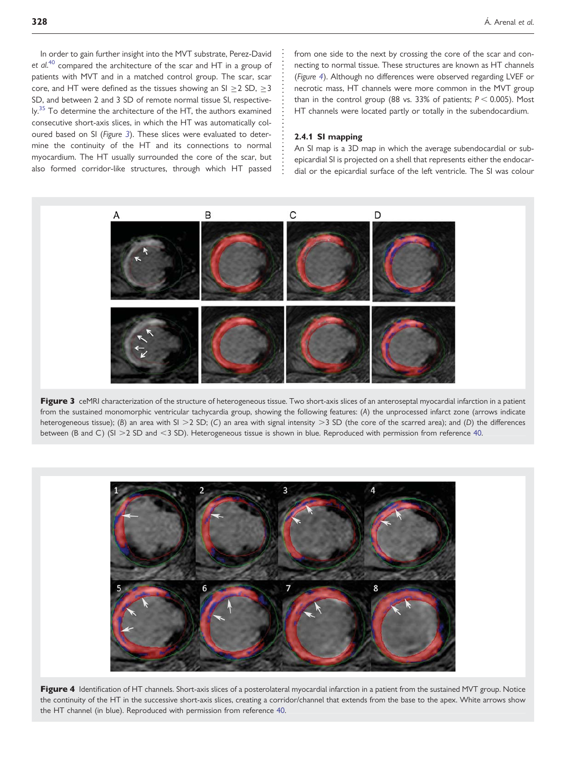In order to gain further insight into the MVT substrate, Perez-David et al.<sup>[40](#page-8-0)</sup> compared the architecture of the scar and HT in a group of patients with MVT and in a matched control group. The scar, scar core, and HT were defined as the tissues showing an SI  $>$  2 SD,  $>$  3 SD, and between 2 and 3 SD of remote normal tissue SI, respective- $1y$ <sup>[35](#page-8-0)</sup> To determine the architecture of the HT, the authors examined consecutive short-axis slices, in which the HT was automatically coloured based on SI (Figure 3). These slices were evaluated to determine the continuity of the HT and its connections to normal myocardium. The HT usually surrounded the core of the scar, but also formed corridor-like structures, through which HT passed

from one side to the next by crossing the core of the scar and connecting to normal tissue. These structures are known as HT channels (Figure 4). Although no differences were observed regarding LVEF or necrotic mass, HT channels were more common in the MVT group than in the control group (88 vs. 33% of patients;  $P < 0.005$ ). Most HT channels were located partly or totally in the subendocardium.

#### 2.4.1 SI mapping

An SI map is a 3D map in which the average subendocardial or subepicardial SI is projected on a shell that represents either the endocardial or the epicardial surface of the left ventricle. The SI was colour



Figure 3 ceMRI characterization of the structure of heterogeneous tissue. Two short-axis slices of an anteroseptal myocardial infarction in a patient from the sustained monomorphic ventricular tachycardia group, showing the following features: (A) the unprocessed infarct zone (arrows indicate heterogeneous tissue); (B) an area with SI > 2 SD; (C) an area with signal intensity > 3 SD (the core of the scarred area); and (D) the differences between (B and C) (SI  $>$ 2 SD and <3 SD). Heterogeneous tissue is shown in blue. Reproduced with permission from reference [40](#page-8-0).



Figure 4 Identification of HT channels. Short-axis slices of a posterolateral myocardial infarction in a patient from the sustained MVT group. Notice the continuity of the HT in the successive short-axis slices, creating a corridor/channel that extends from the base to the apex. White arrows show the HT channel (in blue). Reproduced with permission from reference [40](#page-8-0).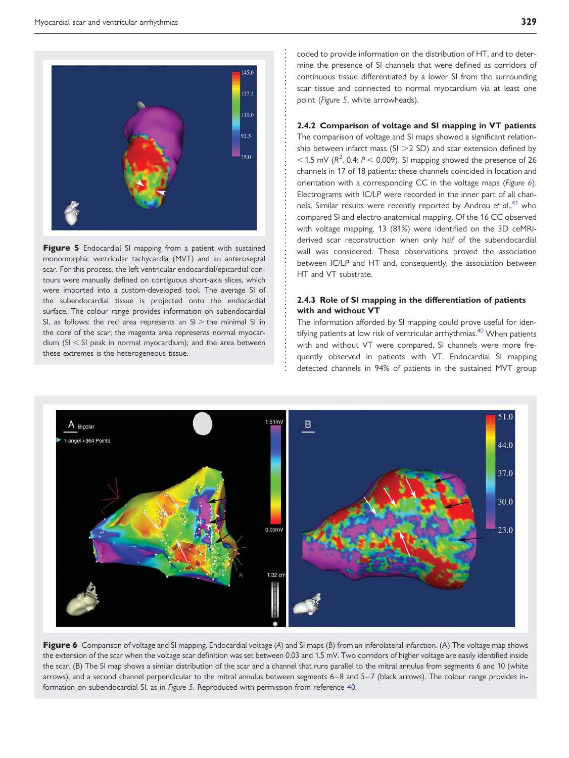<span id="page-5-0"></span>

Figure 5 Endocardial SI mapping from a patient with sustained monomorphic ventricular tachycardia (MVT) and an anteroseptal scar. For this process, the left ventricular endocardial/epicardial contours were manually defined on contiguous short-axis slices, which were imported into a custom-developed tool. The average SI of the subendocardial tissue is projected onto the endocardial surface. The colour range provides information on subendocardial SI, as follows: the red area represents an  $SI >$  the minimal SI in the core of the scar; the magenta area represents normal myocardium  $(SI < SI$  peak in normal myocardium); and the area between these extremes is the heterogeneous tissue.

coded to provide information on the distribution of HT, and to determine the presence of SI channels that were defined as corridors of continuous tissue differentiated by a lower SI from the surrounding scar tissue and connected to normal myocardium via at least one point (Figure 5, white arrowheads).

#### 2.4.2 Comparison of voltage and SI mapping in VT patients

The comparison of voltage and SI maps showed a significant relationship between infarct mass (SI  $>$  2 SD) and scar extension defined by <1.5 mV ( $R^2$ , 0.4;  $P$  < 0.009). SI mapping showed the presence of 26 channels in 17 of 18 patients; these channels coincided in location and orientation with a corresponding CC in the voltage maps (Figure 6). Electrograms with IC/LP were recorded in the inner part of all chan-nels. Similar results were recently reported by Andreu et al.,<sup>[41](#page-8-0)</sup> who compared SI and electro-anatomical mapping. Of the 16 CC observed with voltage mapping, 13 (81%) were identified on the 3D ceMRIderived scar reconstruction when only half of the subendocardial wall was considered. These observations proved the association between IC/LP and HT and, consequently, the association between HT and VT substrate.

#### 2.4.3 Role of SI mapping in the differentiation of patients with and without VT

The information afforded by SI mapping could prove useful for iden-tifying patients at low risk of ventricular arrhythmias.<sup>[40](#page-8-0)</sup> When patients with and without VT were compared, SI channels were more frequently observed in patients with VT. Endocardial SI mapping detected channels in 94% of patients in the sustained MVT group



Figure 6 Comparison of voltage and SI mapping. Endocardial voltage (A) and SI maps (B) from an inferolateral infarction. (A) The voltage map shows the extension of the scar when the voltage scar definition was set between 0.03 and 1.5 mV. Two corridors of higher voltage are easily identified inside the scar. (B) The SI map shows a similar distribution of the scar and a channel that runs parallel to the mitral annulus from segments 6 and 10 (white arrows), and a second channel perpendicular to the mitral annulus between segments 6–8 and 5–7 (black arrows). The colour range provides information on subendocardial SI, as in Figure 5. Reproduced with permission from reference [40](#page-8-0).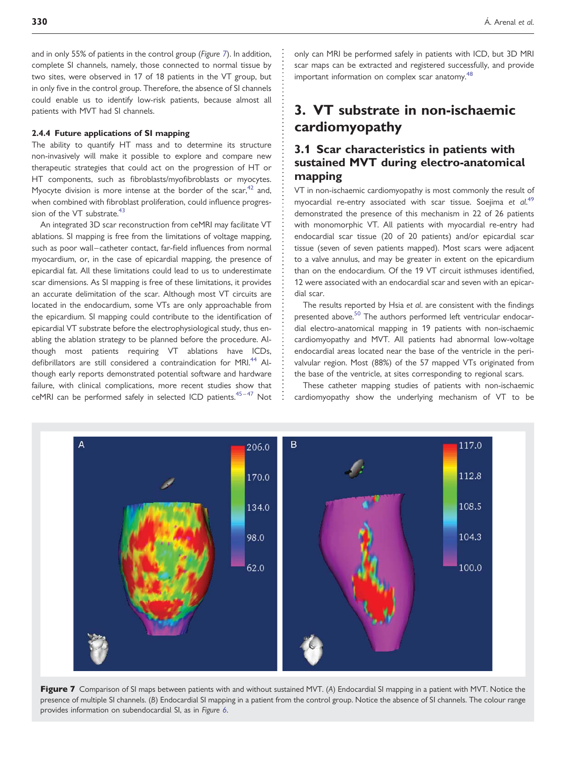and in only 55% of patients in the control group (Figure 7). In addition, complete SI channels, namely, those connected to normal tissue by two sites, were observed in 17 of 18 patients in the VT group, but in only five in the control group. Therefore, the absence of SI channels could enable us to identify low-risk patients, because almost all patients with MVT had SI channels.

#### 2.4.4 Future applications of SI mapping

The ability to quantify HT mass and to determine its structure non-invasively will make it possible to explore and compare new therapeutic strategies that could act on the progression of HT or HT components, such as fibroblasts/myofibroblasts or myocytes. Myocyte division is more intense at the border of the scar,  $42$  and, when combined with fibroblast proliferation, could influence progression of the VT substrate.<sup>43</sup>

An integrated 3D scar reconstruction from ceMRI may facilitate VT ablations. SI mapping is free from the limitations of voltage mapping, such as poor wall–catheter contact, far-field influences from normal myocardium, or, in the case of epicardial mapping, the presence of epicardial fat. All these limitations could lead to us to underestimate scar dimensions. As SI mapping is free of these limitations, it provides an accurate delimitation of the scar. Although most VT circuits are located in the endocardium, some VTs are only approachable from the epicardium. SI mapping could contribute to the identification of epicardial VT substrate before the electrophysiological study, thus enabling the ablation strategy to be planned before the procedure. Although most patients requiring VT ablations have ICDs, defibrillators are still considered a contraindication for MRI.<sup>[44](#page-8-0)</sup> Although early reports demonstrated potential software and hardware failure, with clinical complications, more recent studies show that ceMRI can be performed safely in selected ICD patients.<sup>[45](#page-8-0)-[47](#page-8-0)</sup> Not

only can MRI be performed safely in patients with ICD, but 3D MRI scar maps can be extracted and registered successfully, and provide important information on complex scar anatomy.<sup>[48](#page-8-0)</sup>

# 3. VT substrate in non-ischaemic cardiomyopathy

# 3.1 Scar characteristics in patients with sustained MVT during electro-anatomical mapping

VT in non-ischaemic cardiomyopathy is most commonly the result of myocardial re-entry associated with scar tissue. Soejima et al.<sup>[49](#page-8-0)</sup> demonstrated the presence of this mechanism in 22 of 26 patients with monomorphic VT. All patients with myocardial re-entry had endocardial scar tissue (20 of 20 patients) and/or epicardial scar tissue (seven of seven patients mapped). Most scars were adjacent to a valve annulus, and may be greater in extent on the epicardium than on the endocardium. Of the 19 VT circuit isthmuses identified, 12 were associated with an endocardial scar and seven with an epicardial scar.

The results reported by Hsia et al. are consistent with the findings presented above.<sup>[50](#page-8-0)</sup> The authors performed left ventricular endocardial electro-anatomical mapping in 19 patients with non-ischaemic cardiomyopathy and MVT. All patients had abnormal low-voltage endocardial areas located near the base of the ventricle in the perivalvular region. Most (88%) of the 57 mapped VTs originated from the base of the ventricle, at sites corresponding to regional scars.

These catheter mapping studies of patients with non-ischaemic cardiomyopathy show the underlying mechanism of VT to be



Figure 7 Comparison of SI maps between patients with and without sustained MVT. (A) Endocardial SI mapping in a patient with MVT. Notice the presence of multiple SI channels. (B) Endocardial SI mapping in a patient from the control group. Notice the absence of SI channels. The colour range provides information on subendocardial SI, as in Figure [6](#page-5-0).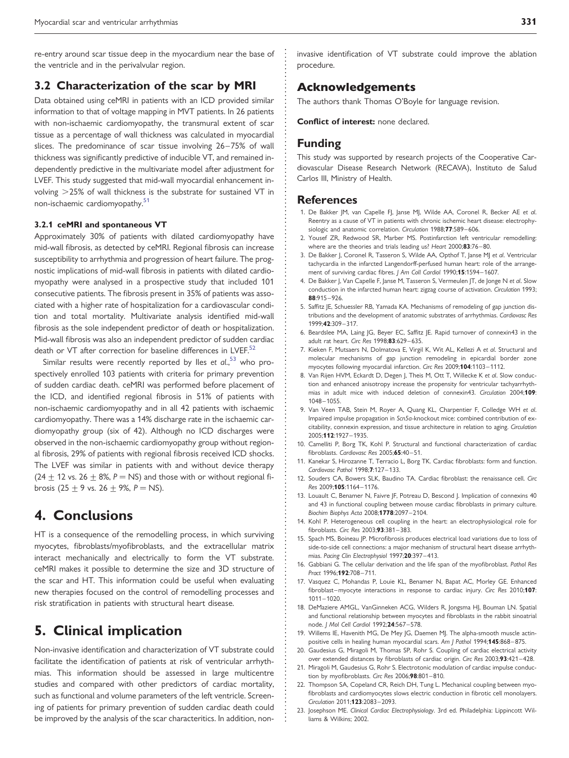<span id="page-7-0"></span>re-entry around scar tissue deep in the myocardium near the base of the ventricle and in the perivalvular region.

### 3.2 Characterization of the scar by MRI

Data obtained using ceMRI in patients with an ICD provided similar information to that of voltage mapping in MVT patients. In 26 patients with non-ischaemic cardiomyopathy, the transmural extent of scar tissue as a percentage of wall thickness was calculated in myocardial slices. The predominance of scar tissue involving 26–75% of wall thickness was significantly predictive of inducible VT, and remained independently predictive in the multivariate model after adjustment for LVEF. This study suggested that mid-wall myocardial enhancement involving  $>$  25% of wall thickness is the substrate for sustained VT in non-ischaemic cardiomyopathy[.51](#page-8-0)

#### 3.2.1 ceMRI and spontaneous VT

Approximately 30% of patients with dilated cardiomyopathy have mid-wall fibrosis, as detected by ceMRI. Regional fibrosis can increase susceptibility to arrhythmia and progression of heart failure. The prognostic implications of mid-wall fibrosis in patients with dilated cardiomyopathy were analysed in a prospective study that included 101 consecutive patients. The fibrosis present in 35% of patients was associated with a higher rate of hospitalization for a cardiovascular condition and total mortality. Multivariate analysis identified mid-wall fibrosis as the sole independent predictor of death or hospitalization. Mid-wall fibrosis was also an independent predictor of sudden cardiac death or VT after correction for baseline differences in LVEF.<sup>[52](#page-8-0)</sup>

Similar results were recently reported by Iles et  $al.,<sup>53</sup>$  $al.,<sup>53</sup>$  $al.,<sup>53</sup>$  who prospectively enrolled 103 patients with criteria for primary prevention of sudden cardiac death. ceMRI was performed before placement of the ICD, and identified regional fibrosis in 51% of patients with non-ischaemic cardiomyopathy and in all 42 patients with ischaemic cardiomyopathy. There was a 14% discharge rate in the ischaemic cardiomyopathy group (six of 42). Although no ICD discharges were observed in the non-ischaemic cardiomyopathy group without regional fibrosis, 29% of patients with regional fibrosis received ICD shocks. The LVEF was similar in patients with and without device therapy (24  $\pm$  12 vs. 26  $\pm$  8%, P = NS) and those with or without regional fibrosis (25  $\pm$  9 vs. 26  $\pm$  9%, P = NS).

# 4. Conclusions

HT is a consequence of the remodelling process, in which surviving myocytes, fibroblasts/myofibroblasts, and the extracellular matrix interact mechanically and electrically to form the VT substrate. ceMRI makes it possible to determine the size and 3D structure of the scar and HT. This information could be useful when evaluating new therapies focused on the control of remodelling processes and risk stratification in patients with structural heart disease.

# 5. Clinical implication

Non-invasive identification and characterization of VT substrate could facilitate the identification of patients at risk of ventricular arrhythmias. This information should be assessed in large multicentre studies and compared with other predictors of cardiac mortality, such as functional and volume parameters of the left ventricle. Screening of patients for primary prevention of sudden cardiac death could be improved by the analysis of the scar characteritics. In addition, noninvasive identification of VT substrate could improve the ablation procedure.

### Acknowledgements

The authors thank Thomas O'Boyle for language revision.

Conflict of interest: none declared.

### Funding

This study was supported by research projects of the Cooperative Cardiovascular Disease Research Network (RECAVA), Instituto de Salud Carlos III, Ministry of Health.

### **References**

- 1. De Bakker JM, van Capelle FJ, Janse MJ, Wilde AA, Coronel R, Becker AE et al. Reentry as a cause of VT in patients with chronic ischemic heart disease: electrophysiologic and anatomic correlation. Circulation 1988;77:589-606.
- 2. Yousef ZR, Redwood SR, Marber MS. Postinfarction left ventricular remodelling: where are the theories and trials leading us? Heart 2000;83:76-80.
- 3. De Bakker J, Coronel R, Tasseron S, Wilde AA, Opthof T, Janse MJ et al. Ventricular tachycardia in the infarcted Langendorff-perfused human heart: role of the arrangement of surviving cardiac fibres. J Am Coll Cardiol 1990;15:1594-1607.
- 4. De Bakker J, Van Capelle F, Janse M, Tasseron S, Vermeulen JT, de Jonge N et al. Slow conduction in the infarcted human heart: zigzag course of activation. Circulation 1993; 88:915–926.
- 5. Saffitz JE, Schuessler RB, Yamada KA. Mechanisms of remodeling of gap junction distributions and the development of anatomic substrates of arrhythmias. Cardiovasc Res 1999;42:309–317.
- 6. Beardslee MA, Laing JG, Beyer EC, Saffitz JE. Rapid turnover of connexin43 in the adult rat heart. Circ Res 1998;83:629–635.
- 7. Kieken F, Mutsaers N, Dolmatova E, Virgil K, Wit AL, Kellezi A et al. Structural and molecular mechanisms of gap junction remodeling in epicardial border zone myocytes following myocardial infarction. Circ Res 2009;104:1103–1112.
- 8. Van Rijen HVM, Eckardt D, Degen J, Theis M, Ott T, Willecke K et al. Slow conduction and enhanced anisotropy increase the propensity for ventricular tachyarrhythmias in adult mice with induced deletion of connexin43. Circulation 2004;109: 1048–1055.
- 9. Van Veen TAB, Stein M, Royer A, Quang KL, Charpentier F, Colledge WH et al. Impaired impulse propagation in Scn5a-knockout mice: combined contribution of excitability, connexin expression, and tissue architecture in relation to aging. Circulation 2005;112:1927–1935.
- 10. Camelliti P, Borg TK, Kohl P. Structural and functional characterization of cardiac fibroblasts. Cardiovasc Res 2005;65:40–51.
- 11. Kanekar S, Hirozanne T, Terracio L, Borg TK. Cardiac fibroblasts: form and function. Cardiovasc Pathol 1998;7:127–133.
- 12. Souders CA, Bowers SLK, Baudino TA. Cardiac fibroblast: the renaissance cell. Circ Res 2009;105:1164–1176.
- 13. Louault C, Benamer N, Faivre IF, Potreau D, Bescond I, Implication of connexins 40 and 43 in functional coupling between mouse cardiac fibroblasts in primary culture. Biochim Biophys Acta 2008;1778:2097–2104.
- 14. Kohl P. Heterogeneous cell coupling in the heart: an electrophysiological role for fibroblasts. Circ Res 2003;93:381–383.
- 15. Spach MS, Boineau JP. Microfibrosis produces electrical load variations due to loss of side-to-side cell connections: a major mechanism of structural heart disease arrhythmias. Pacing Clin Electrophysiol 1997;20:397–413.
- 16. Gabbiani G. The cellular derivation and the life span of the myofibroblast. Pathol Res Pract 1996;192:708–711.
- 17. Vasquez C, Mohandas P, Louie KL, Benamer N, Bapat AC, Morley GE. Enhanced fibroblast–myocyte interactions in response to cardiac injury. Circ Res 2010;107: 1011–1020.
- 18. DeMaziere AMGL, VanGinneken ACG, Wilders R, Jongsma HJ, Bouman LN. Spatial and functional relationship between myocytes and fibroblasts in the rabbit sinoatrial node. J Mol Cell Cardiol 1992;24:567–578.
- 19. Willems IE, Havenith MG, De Mey JG, Daemen MJ. The alpha-smooth muscle actinpositive cells in healing human myocardial scars. Am | Pathol 1994;145:868-875.
- 20. Gaudesius G, Miragoli M, Thomas SP, Rohr S. Coupling of cardiac electrical activity over extended distances by fibroblasts of cardiac origin. Circ Res 2003;93:421–428.
- 21. Miragoli M, Gaudesius G, Rohr S. Electrotonic modulation of cardiac impulse conduction by myofibroblasts. Circ Res 2006;98:801-810.
- 22. Thompson SA, Copeland CR, Reich DH, Tung L. Mechanical coupling between myofibroblasts and cardiomyocytes slows electric conduction in fibrotic cell monolayers. Circulation 2011;123:2083–2093.
- 23. Josephson ME. Clinical Cardiac Electrophysiology. 3rd ed. Philadelphia: Lippincott Williams & Wilkins; 2002.